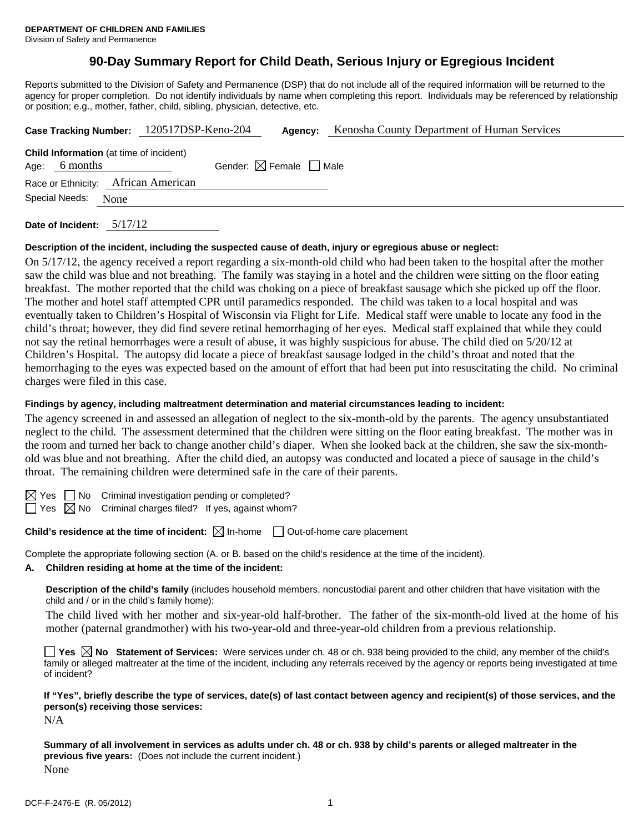# **90-Day Summary Report for Child Death, Serious Injury or Egregious Incident**

Reports submitted to the Division of Safety and Permanence (DSP) that do not include all of the required information will be returned to the agency for proper completion. Do not identify individuals by name when completing this report. Individuals may be referenced by relationship or position; e.g., mother, father, child, sibling, physician, detective, etc.

|                        |          | Case Tracking Number: 120517DSP-Keno-204       | Agency:                                |  | Kenosha County Department of Human Services |  |
|------------------------|----------|------------------------------------------------|----------------------------------------|--|---------------------------------------------|--|
| Age:                   | 6 months | <b>Child Information</b> (at time of incident) | Gender: $\boxtimes$ Female $\Box$ Male |  |                                             |  |
|                        |          | Race or Ethnicity: African American            |                                        |  |                                             |  |
| Special Needs:<br>None |          |                                                |                                        |  |                                             |  |
|                        |          |                                                |                                        |  |                                             |  |

**Date of Incident:** 5/17/12

# **Description of the incident, including the suspected cause of death, injury or egregious abuse or neglect:**

On 5/17/12, the agency received a report regarding a six-month-old child who had been taken to the hospital after the mother saw the child was blue and not breathing. The family was staying in a hotel and the children were sitting on the floor eating breakfast. The mother reported that the child was choking on a piece of breakfast sausage which she picked up off the floor. The mother and hotel staff attempted CPR until paramedics responded. The child was taken to a local hospital and was eventually taken to Children's Hospital of Wisconsin via Flight for Life. Medical staff were unable to locate any food in the child's throat; however, they did find severe retinal hemorrhaging of her eyes. Medical staff explained that while they could not say the retinal hemorrhages were a result of abuse, it was highly suspicious for abuse. The child died on 5/20/12 at Children's Hospital. The autopsy did locate a piece of breakfast sausage lodged in the child's throat and noted that the hemorrhaging to the eyes was expected based on the amount of effort that had been put into resuscitating the child. No criminal charges were filed in this case.

#### **Findings by agency, including maltreatment determination and material circumstances leading to incident:**

The agency screened in and assessed an allegation of neglect to the six-month-old by the parents. The agency unsubstantiated neglect to the child. The assessment determined that the children were sitting on the floor eating breakfast. The mother was in the room and turned her back to change another child's diaper. When she looked back at the children, she saw the six-monthold was blue and not breathing. After the child died, an autopsy was conducted and located a piece of sausage in the child's throat. The remaining children were determined safe in the care of their parents.

No Criminal investigation pending or completed?

 $\Box$  Yes  $\boxtimes$  No Criminal charges filed? If yes, against whom?

**Child's residence at the time of incident:** ⊠ In-home □ Out-of-home care placement

Complete the appropriate following section (A. or B. based on the child's residence at the time of the incident).

#### **A. Children residing at home at the time of the incident:**

**Description of the child's family** (includes household members, noncustodial parent and other children that have visitation with the child and / or in the child's family home):

The child lived with her mother and six-year-old half-brother. The father of the six-month-old lived at the home of his mother (paternal grandmother) with his two-year-old and three-year-old children from a previous relationship.

**Yes**  $\boxtimes$  **No** Statement of Services: Were services under ch. 48 or ch. 938 being provided to the child, any member of the child's family or alleged maltreater at the time of the incident, including any referrals received by the agency or reports being investigated at time of incident?

**If "Yes", briefly describe the type of services, date(s) of last contact between agency and recipient(s) of those services, and the person(s) receiving those services:** 

N/A

**Summary of all involvement in services as adults under ch. 48 or ch. 938 by child's parents or alleged maltreater in the previous five years:** (Does not include the current incident.) None